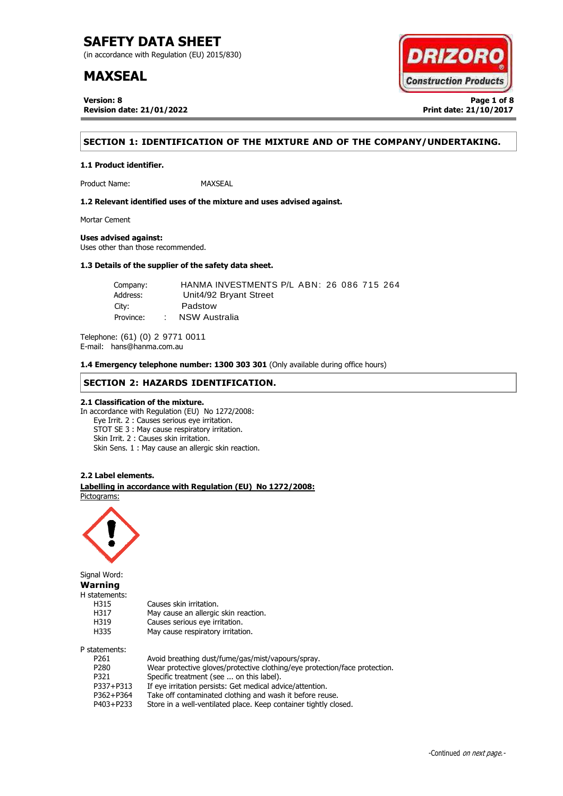(in accordance with Regulation (EU) 2015/830)

# **MAXSEAL**

**Version: 8 Page 1 of 8 Revision date: 21/01/2022 Print date: 21/10/2017**



# **SECTION 1: IDENTIFICATION OF THE MIXTURE AND OF THE COMPANY/UNDERTAKING.**

**1.1 Product identifier.**

Product Name: MAXSEAL

**1.2 Relevant identified uses of the mixture and uses advised against.**

Mortar Cement

# **Uses advised against:**

Uses other than those recommended.

# **1.3 Details of the supplier of the safety data sheet.**

| Company:  |        | HANMA INVESTMENTS P/L ABN: 26 086 715 264 |
|-----------|--------|-------------------------------------------|
| Address:  |        | Unit4/92 Bryant Street                    |
| City:     |        | Padstow                                   |
| Province: | $\sim$ | NSW Australia                             |

Telephone: (61) (0) 2 9771 0011 E-mail: hans@hanma.com.au

**1.4 Emergency telephone number: 1300 303 301** (Only available during office hours)

# **SECTION 2: HAZARDS IDENTIFICATION.**

# **2.1 Classification of the mixture.**

In accordance with Regulation (EU) No 1272/2008: Eye Irrit. 2 : Causes serious eye irritation. STOT SE 3 : May cause respiratory irritation. Skin Irrit. 2 : Causes skin irritation. Skin Sens. 1 : May cause an allergic skin reaction.

### **2.2 Label elements.**

. **Labelling in accordance with Regulation (EU) No 1272/2008:** Pictograms:

May cause an allergic skin reaction.



Signal Word: **Warning** H statements: H315 Causes skin irritation.<br>H317 May cause an allergic H319 Causes serious eye irritation. H335 May cause respiratory irritation. P statements:

| Avoid breathing dust/fume/gas/mist/vapours/spray.                          |
|----------------------------------------------------------------------------|
| Wear protective gloves/protective clothing/eye protection/face protection. |
| Specific treatment (see  on this label).                                   |
| If eye irritation persists: Get medical advice/attention.                  |
| Take off contaminated clothing and wash it before reuse.                   |
| Store in a well-ventilated place. Keep container tightly closed.           |
|                                                                            |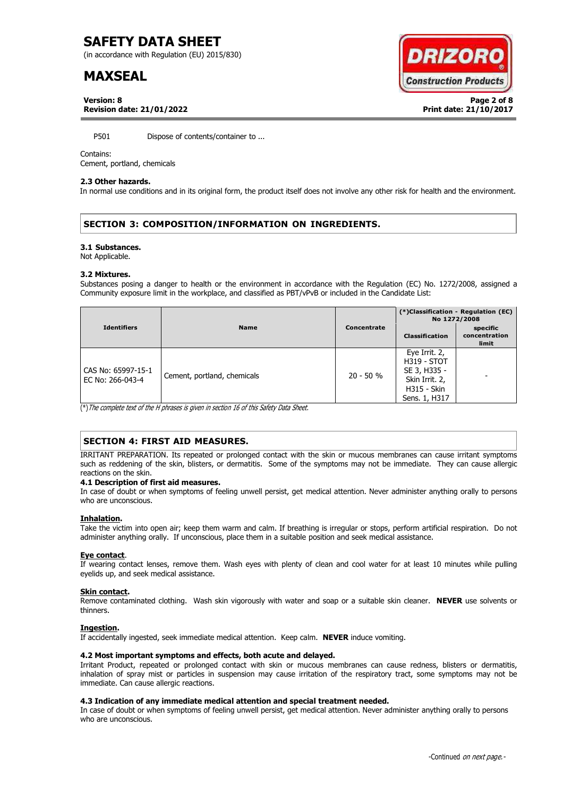(in accordance with Regulation (EU) 2015/830)

# **MAXSEAL**



**Version: 8 Page 2 of 8 Revision date: 21/01/2022 Print date: 21/10/2017**

P501 Dispose of contents/container to ...

### Contains:

Cement, portland, chemicals

### **2.3 Other hazards.**

In normal use conditions and in its original form, the product itself does not involve any other risk for health and the environment.

# **SECTION 3: COMPOSITION/INFORMATION ON INGREDIENTS.**

#### **3.1 Substances.**

Not Applicable.

#### **3.2 Mixtures.**

Substances posing a danger to health or the environment in accordance with the Regulation (EC) No. 1272/2008, assigned a Community exposure limit in the workplace, and classified as PBT/vPvB or included in the Candidate List:

|                                        | <b>Name</b>                 | Concentrate | (*)Classification - Regulation (EC)<br>No 1272/2008                                                          |                                    |
|----------------------------------------|-----------------------------|-------------|--------------------------------------------------------------------------------------------------------------|------------------------------------|
| <b>Identifiers</b>                     |                             |             | <b>Classification</b>                                                                                        | specific<br>concentration<br>limit |
| CAS No: 65997-15-1<br>EC No: 266-043-4 | Cement, portland, chemicals | $20 - 50 %$ | Eye Irrit. 2,<br><b>H319 - STOT</b><br>SE 3, H335 -<br>Skin Irrit. 2,<br><b>H315 - Skin</b><br>Sens. 1, H317 |                                    |

(\*)The complete text of the H phrases is given in section 16 of this Safety Data Sheet.

# **SECTION 4: FIRST AID MEASURES.**

IRRITANT PREPARATION. Its repeated or prolonged contact with the skin or mucous membranes can cause irritant symptoms such as reddening of the skin, blisters, or dermatitis. Some of the symptoms may not be immediate. They can cause allergic reactions on the skin.

### **4.1 Description of first aid measures.**

In case of doubt or when symptoms of feeling unwell persist, get medical attention. Never administer anything orally to persons who are unconscious.

### **Inhalation.**

Take the victim into open air; keep them warm and calm. If breathing is irregular or stops, perform artificial respiration. Do not administer anything orally. If unconscious, place them in a suitable position and seek medical assistance.

### **Eye contact**.

If wearing contact lenses, remove them. Wash eyes with plenty of clean and cool water for at least 10 minutes while pulling eyelids up, and seek medical assistance.

### **Skin contact.**

Remove contaminated clothing. Wash skin vigorously with water and soap or a suitable skin cleaner. **NEVER** use solvents or thinners.

### **Ingestion.**

If accidentally ingested, seek immediate medical attention. Keep calm. **NEVER** induce vomiting.

# **4.2 Most important symptoms and effects, both acute and delayed.**

Irritant Product, repeated or prolonged contact with skin or mucous membranes can cause redness, blisters or dermatitis, inhalation of spray mist or particles in suspension may cause irritation of the respiratory tract, some symptoms may not be immediate. Can cause allergic reactions.

# **4.3 Indication of any immediate medical attention and special treatment needed.**

In case of doubt or when symptoms of feeling unwell persist, get medical attention. Never administer anything orally to persons who are unconscious.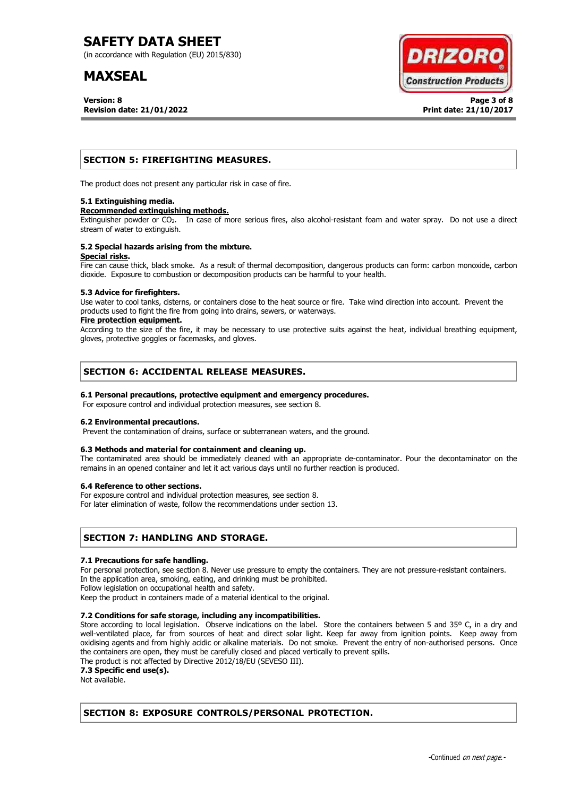(in accordance with Regulation (EU) 2015/830)

# **MAXSEAL**

**Version: 8 Page 3 of 8 Revision date: 21/01/2022 Print date: 21/10/2017**



# **SECTION 5: FIREFIGHTING MEASURES.**

The product does not present any particular risk in case of fire.

### **5.1 Extinguishing media.**

#### **Recommended extinguishing methods.**

Extinguisher powder or CO<sub>2</sub>. In case of more serious fires, also alcohol-resistant foam and water spray. Do not use a direct stream of water to extinguish.

#### **5.2 Special hazards arising from the mixture. Special risks.**

Fire can cause thick, black smoke. As a result of thermal decomposition, dangerous products can form: carbon monoxide, carbon dioxide. Exposure to combustion or decomposition products can be harmful to your health.

### **5.3 Advice for firefighters.**

Use water to cool tanks, cisterns, or containers close to the heat source or fire. Take wind direction into account. Prevent the products used to fight the fire from going into drains, sewers, or waterways.

### **Fire protection equipment.**

According to the size of the fire, it may be necessary to use protective suits against the heat, individual breathing equipment, gloves, protective goggles or facemasks, and gloves.

# **SECTION 6: ACCIDENTAL RELEASE MEASURES.**

# **6.1 Personal precautions, protective equipment and emergency procedures.**

For exposure control and individual protection measures, see section 8.

# **6.2 Environmental precautions.**

Prevent the contamination of drains, surface or subterranean waters, and the ground.

# **6.3 Methods and material for containment and cleaning up.**

The contaminated area should be immediately cleaned with an appropriate de-contaminator. Pour the decontaminator on the remains in an opened container and let it act various days until no further reaction is produced.

### **6.4 Reference to other sections.**

For exposure control and individual protection measures, see section 8.

For later elimination of waste, follow the recommendations under section 13.

# **SECTION 7: HANDLING AND STORAGE.**

### **7.1 Precautions for safe handling.**

For personal protection, see section 8. Never use pressure to empty the containers. They are not pressure-resistant containers. In the application area, smoking, eating, and drinking must be prohibited.

Follow legislation on occupational health and safety.

Keep the product in containers made of a material identical to the original.

# **7.2 Conditions for safe storage, including any incompatibilities.**

Store according to local legislation. Observe indications on the label. Store the containers between 5 and 35° C, in a dry and well-ventilated place, far from sources of heat and direct solar light. Keep far away from ignition points. Keep away from oxidising agents and from highly acidic or alkaline materials. Do not smoke. Prevent the entry of non-authorised persons. Once the containers are open, they must be carefully closed and placed vertically to prevent spills.

The product is not affected by Directive 2012/18/EU (SEVESO III).

**7.3 Specific end use(s).**

Not available.

# **SECTION 8: EXPOSURE CONTROLS/PERSONAL PROTECTION.**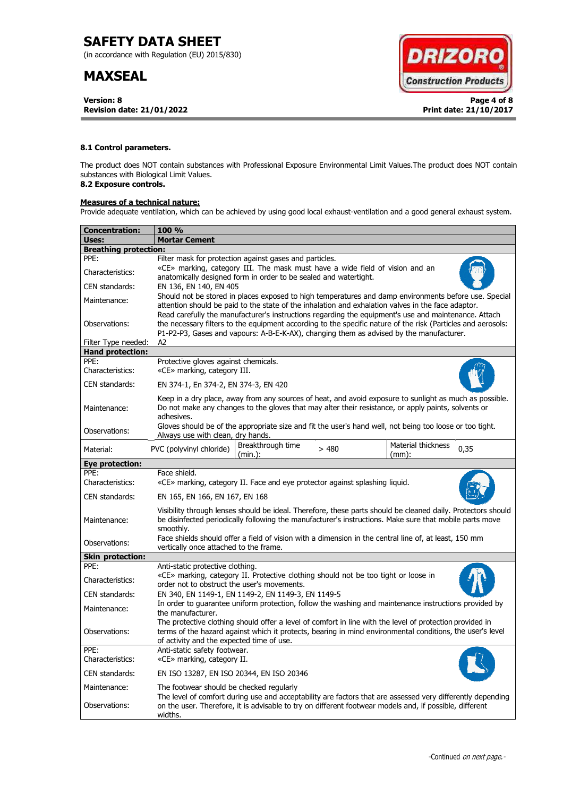(in accordance with Regulation (EU) 2015/830)

# **MAXSEAL**

**Version: 8 Page 4 of 8 Revision date: 21/01/2022 Print date: 21/10/2017**



# **8.1 Control parameters.**

The product does NOT contain substances with Professional Exposure Environmental Limit Values.The product does NOT contain substances with Biological Limit Values.

# **8.2 Exposure controls.**

# **Measures of a technical nature:**

Provide adequate ventilation, which can be achieved by using good local exhaust-ventilation and a good general exhaust system.

| <b>Concentration:</b>        | <b>100 %</b>                                                                                                                                                                                                                                                                                                        |  |  |  |  |
|------------------------------|---------------------------------------------------------------------------------------------------------------------------------------------------------------------------------------------------------------------------------------------------------------------------------------------------------------------|--|--|--|--|
| Uses:                        | <b>Mortar Cement</b>                                                                                                                                                                                                                                                                                                |  |  |  |  |
| <b>Breathing protection:</b> |                                                                                                                                                                                                                                                                                                                     |  |  |  |  |
| PPE:                         | Filter mask for protection against gases and particles.                                                                                                                                                                                                                                                             |  |  |  |  |
| Characteristics:             | «CE» marking, category III. The mask must have a wide field of vision and an<br>anatomically designed form in order to be sealed and watertight.                                                                                                                                                                    |  |  |  |  |
| CEN standards:               | EN 136, EN 140, EN 405                                                                                                                                                                                                                                                                                              |  |  |  |  |
| Maintenance:                 | Should not be stored in places exposed to high temperatures and damp environments before use. Special<br>attention should be paid to the state of the inhalation and exhalation valves in the face adaptor.<br>Read carefully the manufacturer's instructions regarding the equipment's use and maintenance. Attach |  |  |  |  |
| Observations:                | the necessary filters to the equipment according to the specific nature of the risk (Particles and aerosols:<br>P1-P2-P3, Gases and vapours: A-B-E-K-AX), changing them as advised by the manufacturer.                                                                                                             |  |  |  |  |
| Filter Type needed:          | A2                                                                                                                                                                                                                                                                                                                  |  |  |  |  |
| <b>Hand protection:</b>      |                                                                                                                                                                                                                                                                                                                     |  |  |  |  |
| PPE:<br>Characteristics:     | Protective gloves against chemicals.<br>«CE» marking, category III.                                                                                                                                                                                                                                                 |  |  |  |  |
| CEN standards:               | EN 374-1, En 374-2, EN 374-3, EN 420                                                                                                                                                                                                                                                                                |  |  |  |  |
| Maintenance:                 | Keep in a dry place, away from any sources of heat, and avoid exposure to sunlight as much as possible.<br>Do not make any changes to the gloves that may alter their resistance, or apply paints, solvents or<br>adhesives.                                                                                        |  |  |  |  |
| Observations:                | Gloves should be of the appropriate size and fit the user's hand well, not being too loose or too tight.<br>Always use with clean, dry hands.                                                                                                                                                                       |  |  |  |  |
| Material:                    | Breakthrough time<br>Material thickness<br>PVC (polyvinyl chloride)<br>>480<br>0,35<br>(min.):<br>$(mm)$ :                                                                                                                                                                                                          |  |  |  |  |
| <b>Eye protection:</b>       |                                                                                                                                                                                                                                                                                                                     |  |  |  |  |
| PPE:<br>Characteristics:     | Face shield.<br>«CE» marking, category II. Face and eye protector against splashing liquid.                                                                                                                                                                                                                         |  |  |  |  |
| CEN standards:               | EN 165, EN 166, EN 167, EN 168                                                                                                                                                                                                                                                                                      |  |  |  |  |
| Maintenance:                 | Visibility through lenses should be ideal. Therefore, these parts should be cleaned daily. Protectors should<br>be disinfected periodically following the manufacturer's instructions. Make sure that mobile parts move<br>smoothly.                                                                                |  |  |  |  |
| Observations:                | Face shields should offer a field of vision with a dimension in the central line of, at least, 150 mm<br>vertically once attached to the frame.                                                                                                                                                                     |  |  |  |  |
| <b>Skin protection:</b>      |                                                                                                                                                                                                                                                                                                                     |  |  |  |  |
| PPE:                         | Anti-static protective clothing.                                                                                                                                                                                                                                                                                    |  |  |  |  |
| Characteristics:             | «CE» marking, category II. Protective clothing should not be too tight or loose in<br>order not to obstruct the user's movements.                                                                                                                                                                                   |  |  |  |  |
| CEN standards:               | EN 340, EN 1149-1, EN 1149-2, EN 1149-3, EN 1149-5                                                                                                                                                                                                                                                                  |  |  |  |  |
| Maintenance:                 | In order to quarantee uniform protection, follow the washing and maintenance instructions provided by<br>the manufacturer.                                                                                                                                                                                          |  |  |  |  |
| Observations:                | The protective clothing should offer a level of comfort in line with the level of protection provided in<br>terms of the hazard against which it protects, bearing in mind environmental conditions, the user's level<br>of activity and the expected time of use.                                                  |  |  |  |  |
| PPE:<br>Characteristics:     | Anti-static safety footwear.<br>«CE» marking, category II.                                                                                                                                                                                                                                                          |  |  |  |  |
| CEN standards:               | EN ISO 13287, EN ISO 20344, EN ISO 20346                                                                                                                                                                                                                                                                            |  |  |  |  |
| Maintenance:                 | The footwear should be checked regularly                                                                                                                                                                                                                                                                            |  |  |  |  |
| Observations:                | The level of comfort during use and acceptability are factors that are assessed very differently depending<br>on the user. Therefore, it is advisable to try on different footwear models and, if possible, different<br>widths.                                                                                    |  |  |  |  |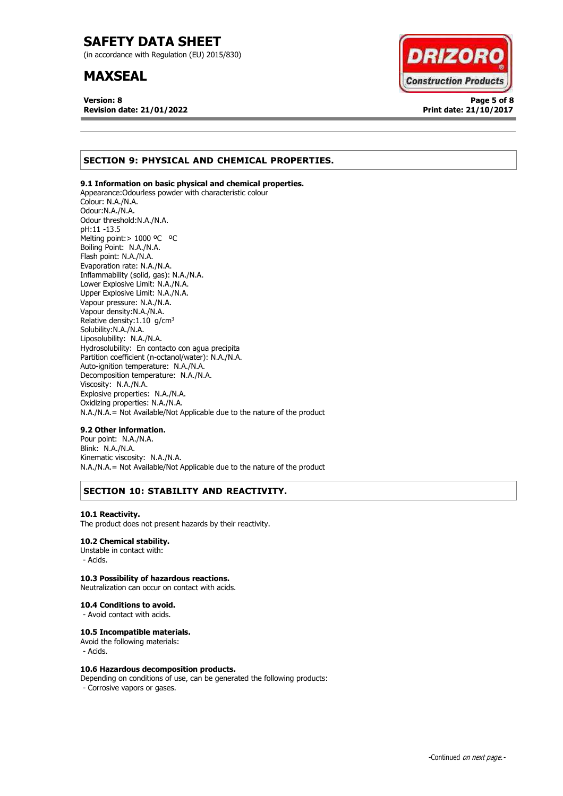(in accordance with Regulation (EU) 2015/830)

# **MAXSEAL**

**Version: 8 Page 5 of 8 Revision date: 21/01/2022 Print date: 21/10/2017**



# **SECTION 9: PHYSICAL AND CHEMICAL PROPERTIES.**

# **9.1 Information on basic physical and chemical properties.**

Appearance:Odourless powder with characteristic colour Colour: N.A./N.A. Odour:N.A./N.A. Odour threshold:N.A./N.A. pH:11 -13.5 Melting point: > 1000 °C °C Boiling Point: N.A./N.A. Flash point: N.A./N.A. Evaporation rate: N.A./N.A. Inflammability (solid, gas): N.A./N.A. Lower Explosive Limit: N.A./N.A. Upper Explosive Limit: N.A./N.A. Vapour pressure: N.A./N.A. Vapour density:N.A./N.A. Relative density:  $1.10$  g/cm<sup>3</sup> Solubility:N.A./N.A. Liposolubility: N.A./N.A. Hydrosolubility: En contacto con agua precipita Partition coefficient (n-octanol/water): N.A./N.A. Auto-ignition temperature: N.A./N.A. Decomposition temperature: N.A./N.A. Viscosity: N.A./N.A. Explosive properties: N.A./N.A. Oxidizing properties: N.A./N.A. N.A./N.A.= Not Available/Not Applicable due to the nature of the product

### **9.2 Other information.**

Pour point: N.A./N.A. Blink: N.A./N.A. Kinematic viscosity: N.A./N.A. N.A./N.A.= Not Available/Not Applicable due to the nature of the product

# **SECTION 10: STABILITY AND REACTIVITY.**

### **10.1 Reactivity.**

The product does not present hazards by their reactivity.

# **10.2 Chemical stability.**

Unstable in contact with: - Acids.

# **10.3 Possibility of hazardous reactions.**

Neutralization can occur on contact with acids.

#### **10.4 Conditions to avoid.**

- Avoid contact with acids.

### **10.5 Incompatible materials.**

Avoid the following materials: - Acids.

### **10.6 Hazardous decomposition products.**

Depending on conditions of use, can be generated the following products: - Corrosive vapors or gases.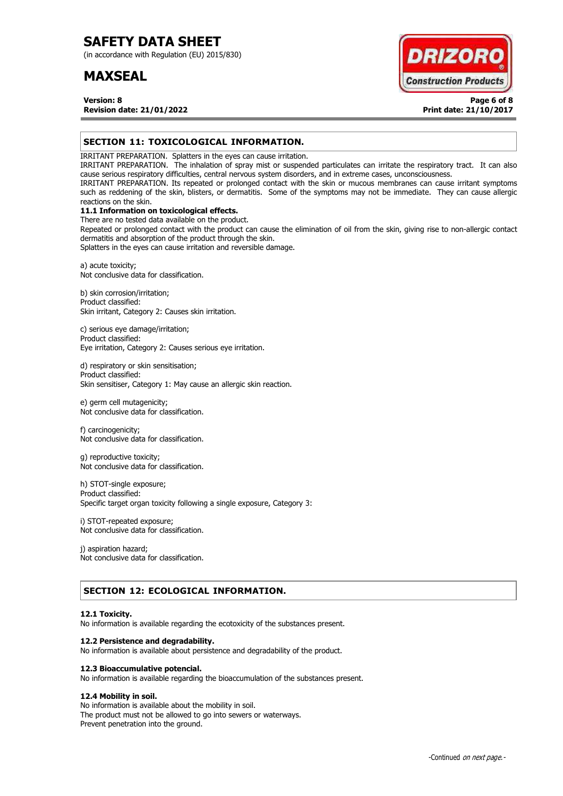(in accordance with Regulation (EU) 2015/830)

# **MAXSEAL**



**Version: 8 Page 6 of 8 Revision date: 21/01/2022 Print date: 21/10/2017**

# **SECTION 11: TOXICOLOGICAL INFORMATION.**

IRRITANT PREPARATION. Splatters in the eyes can cause irritation.

IRRITANT PREPARATION. The inhalation of spray mist or suspended particulates can irritate the respiratory tract. It can also cause serious respiratory difficulties, central nervous system disorders, and in extreme cases, unconsciousness.

IRRITANT PREPARATION. Its repeated or prolonged contact with the skin or mucous membranes can cause irritant symptoms such as reddening of the skin, blisters, or dermatitis. Some of the symptoms may not be immediate. They can cause allergic reactions on the skin.

# **11.1 Information on toxicological effects.**

There are no tested data available on the product. Repeated or prolonged contact with the product can cause the elimination of oil from the skin, giving rise to non-allergic contact dermatitis and absorption of the product through the skin.

Splatters in the eyes can cause irritation and reversible damage.

a) acute toxicity; Not conclusive data for classification.

b) skin corrosion/irritation; Product classified: Skin irritant, Category 2: Causes skin irritation.

c) serious eye damage/irritation; Product classified: Eye irritation, Category 2: Causes serious eye irritation.

d) respiratory or skin sensitisation; Product classified: Skin sensitiser, Category 1: May cause an allergic skin reaction.

e) germ cell mutagenicity; Not conclusive data for classification.

f) carcinogenicity; Not conclusive data for classification.

g) reproductive toxicity; Not conclusive data for classification.

h) STOT-single exposure; Product classified: Specific target organ toxicity following a single exposure, Category 3:

i) STOT-repeated exposure; Not conclusive data for classification.

j) aspiration hazard; Not conclusive data for classification.

# **SECTION 12: ECOLOGICAL INFORMATION.**

### **12.1 Toxicity.**

No information is available regarding the ecotoxicity of the substances present.

### **12.2 Persistence and degradability.**

No information is available about persistence and degradability of the product.

### **12.3 Bioaccumulative potencial.**

No information is available regarding the bioaccumulation of the substances present.

# **12.4 Mobility in soil.**

No information is available about the mobility in soil. The product must not be allowed to go into sewers or waterways. Prevent penetration into the ground.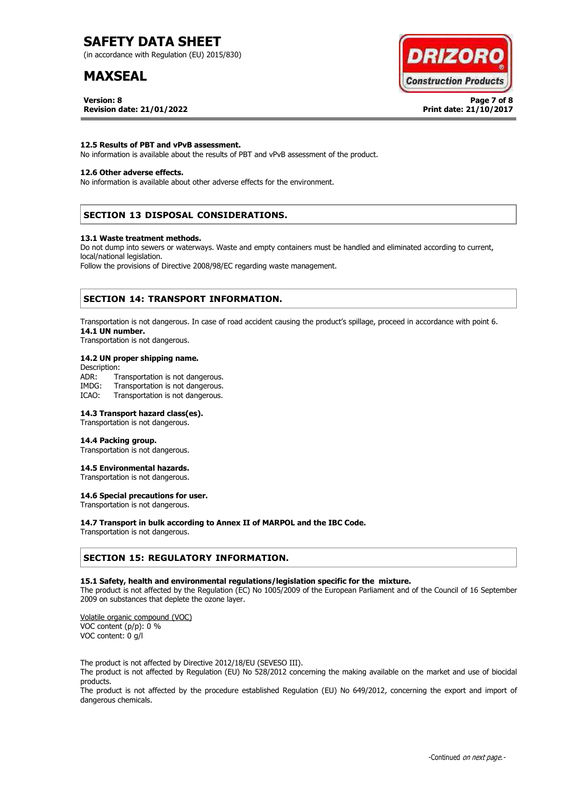(in accordance with Regulation (EU) 2015/830)

# **MAXSEAL**

**Version: 8 Page 7 of 8 Revision date: 21/01/2022 Print date: 21/10/2017**



### **12.5 Results of PBT and vPvB assessment.**

No information is available about the results of PBT and vPvB assessment of the product.

# **12.6 Other adverse effects.**

No information is available about other adverse effects for the environment.

# **SECTION 13 DISPOSAL CONSIDERATIONS.**

#### **13.1 Waste treatment methods.**

Do not dump into sewers or waterways. Waste and empty containers must be handled and eliminated according to current, local/national legislation.

Follow the provisions of Directive 2008/98/EC regarding waste management.

# **SECTION 14: TRANSPORT INFORMATION.**

Transportation is not dangerous. In case of road accident causing the product's spillage, proceed in accordance with point 6. **14.1 UN number.**

Transportation is not dangerous.

### **14.2 UN proper shipping name.**

Description: ADR: Transportation is not dangerous.<br>IMDG: Transportation is not dangerous. Transportation is not dangerous. ICAO: Transportation is not dangerous.

#### **14.3 Transport hazard class(es).**

Transportation is not dangerous.

#### **14.4 Packing group.**

Transportation is not dangerous.

#### **14.5 Environmental hazards.**

Transportation is not dangerous.

# **14.6 Special precautions for user.**

Transportation is not dangerous.

### **14.7 Transport in bulk according to Annex II of MARPOL and the IBC Code.**

Transportation is not dangerous.

# **SECTION 15: REGULATORY INFORMATION.**

#### **15.1 Safety, health and environmental regulations/legislation specific for the mixture.**

The product is not affected by the Regulation (EC) No 1005/2009 of the European Parliament and of the Council of 16 September 2009 on substances that deplete the ozone layer.

Volatile organic compound (VOC) VOC content (p/p): 0 % VOC content: 0 g/l

The product is not affected by Directive 2012/18/EU (SEVESO III).

The product is not affected by Regulation (EU) No 528/2012 concerning the making available on the market and use of biocidal products.

The product is not affected by the procedure established Regulation (EU) No 649/2012, concerning the export and import of dangerous chemicals.